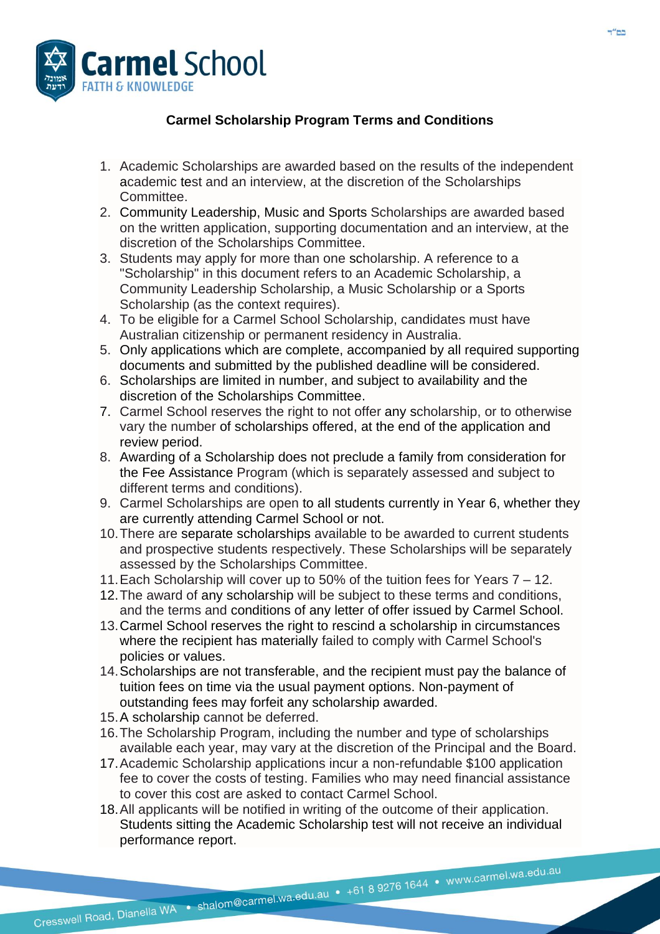

## **Carmel Scholarship Program Terms and Conditions**

- 1. Academic Scholarships are awarded based on the results of the independent academic test and an interview, at the discretion of the Scholarships Committee.
- 2. Community Leadership, Music and Sports Scholarships are awarded based on the written application, supporting documentation and an interview, at the discretion of the Scholarships Committee.
- 3. Students may apply for more than one scholarship. A reference to a "Scholarship" in this document refers to an Academic Scholarship, a Community Leadership Scholarship, a Music Scholarship or a Sports Scholarship (as the context requires).
- 4. To be eligible for a Carmel School Scholarship, candidates must have Australian citizenship or permanent residency in Australia.
- 5. Only applications which are complete, accompanied by all required supporting documents and submitted by the published deadline will be considered.
- 6. Scholarships are limited in number, and subject to availability and the discretion of the Scholarships Committee.
- 7. Carmel School reserves the right to not offer any scholarship, or to otherwise vary the number of scholarships offered, at the end of the application and review period.
- 8. Awarding of a Scholarship does not preclude a family from consideration for the Fee Assistance Program (which is separately assessed and subject to different terms and conditions).
- 9. Carmel Scholarships are open to all students currently in Year 6, whether they are currently attending Carmel School or not.
- 10.There are separate scholarships available to be awarded to current students and prospective students respectively. These Scholarships will be separately assessed by the Scholarships Committee.
- 11.Each Scholarship will cover up to 50% of the tuition fees for Years 7 12.
- 12.The award of any scholarship will be subject to these terms and conditions, and the terms and conditions of any letter of offer issued by Carmel School.
- 13.Carmel School reserves the right to rescind a scholarship in circumstances where the recipient has materially failed to comply with Carmel School's policies or values.
- 14.Scholarships are not transferable, and the recipient must pay the balance of tuition fees on time via the usual payment options. Non-payment of outstanding fees may forfeit any scholarship awarded.
- 15.A scholarship cannot be deferred.
- 16.The Scholarship Program, including the number and type of scholarships available each year, may vary at the discretion of the Principal and the Board.
- 17.Academic Scholarship applications incur a non-refundable \$100 application fee to cover the costs of testing. Families who may need financial assistance to cover this cost are asked to contact Carmel School.
- 18.All applicants will be notified in writing of the outcome of their application. Students sitting the Academic Scholarship test will not receive an individual performance report.